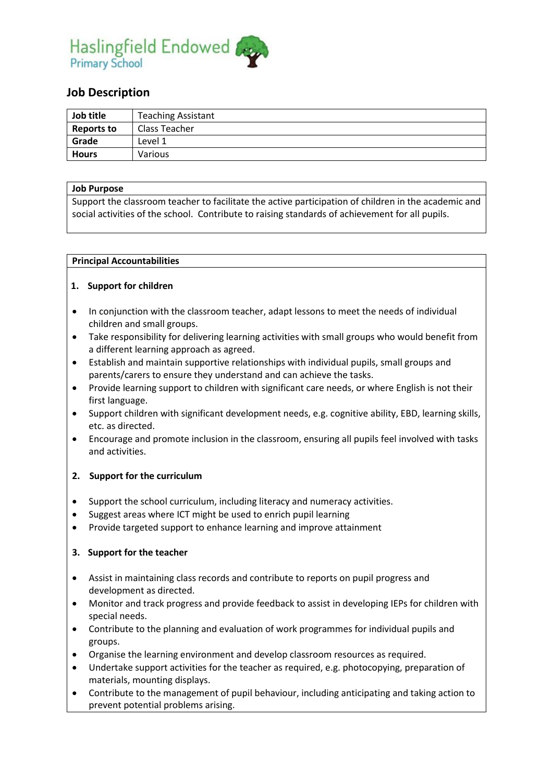

# **Job Description**

| Job title         | <b>Teaching Assistant</b> |
|-------------------|---------------------------|
| <b>Reports to</b> | Class Teacher             |
| Grade             | Level 1                   |
| <b>Hours</b>      | <b>Various</b>            |

#### **Job Purpose**

Support the classroom teacher to facilitate the active participation of children in the academic and social activities of the school. Contribute to raising standards of achievement for all pupils.

#### **Principal Accountabilities**

#### **1. Support for children**

- In conjunction with the classroom teacher, adapt lessons to meet the needs of individual children and small groups.
- Take responsibility for delivering learning activities with small groups who would benefit from a different learning approach as agreed.
- Establish and maintain supportive relationships with individual pupils, small groups and parents/carers to ensure they understand and can achieve the tasks.
- Provide learning support to children with significant care needs, or where English is not their first language.
- Support children with significant development needs, e.g. cognitive ability, EBD, learning skills, etc. as directed.
- Encourage and promote inclusion in the classroom, ensuring all pupils feel involved with tasks and activities.

#### **2. Support for the curriculum**

- Support the school curriculum, including literacy and numeracy activities.
- Suggest areas where ICT might be used to enrich pupil learning
- Provide targeted support to enhance learning and improve attainment

#### **3. Support for the teacher**

- Assist in maintaining class records and contribute to reports on pupil progress and development as directed.
- Monitor and track progress and provide feedback to assist in developing IEPs for children with special needs.
- Contribute to the planning and evaluation of work programmes for individual pupils and groups.
- Organise the learning environment and develop classroom resources as required.
- Undertake support activities for the teacher as required, e.g. photocopying, preparation of materials, mounting displays.
- Contribute to the management of pupil behaviour, including anticipating and taking action to prevent potential problems arising.